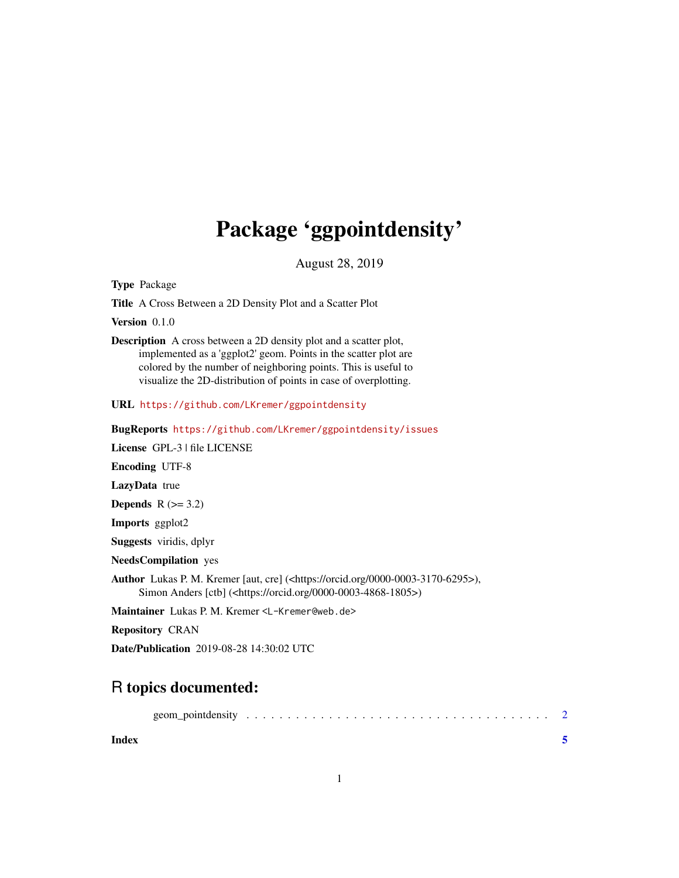## Package 'ggpointdensity'

August 28, 2019

<span id="page-0-0"></span>Type Package

Title A Cross Between a 2D Density Plot and a Scatter Plot

Version 0.1.0

Description A cross between a 2D density plot and a scatter plot, implemented as a 'ggplot2' geom. Points in the scatter plot are colored by the number of neighboring points. This is useful to visualize the 2D-distribution of points in case of overplotting.

URL <https://github.com/LKremer/ggpointdensity>

BugReports <https://github.com/LKremer/ggpointdensity/issues>

License GPL-3 | file LICENSE

Encoding UTF-8

LazyData true

**Depends**  $R$  ( $>= 3.2$ )

Imports ggplot2

Suggests viridis, dplyr

NeedsCompilation yes

Author Lukas P. M. Kremer [aut, cre] (<https://orcid.org/0000-0003-3170-6295>), Simon Anders [ctb] (<https://orcid.org/0000-0003-4868-1805>)

Maintainer Lukas P. M. Kremer <L-Kremer@web.de>

Repository CRAN

Date/Publication 2019-08-28 14:30:02 UTC

### R topics documented:

**Index** [5](#page-4-0). The second state of the second state of the second state of the second state of the second state of the second state of the second state of the second state of the second state of the second state of the second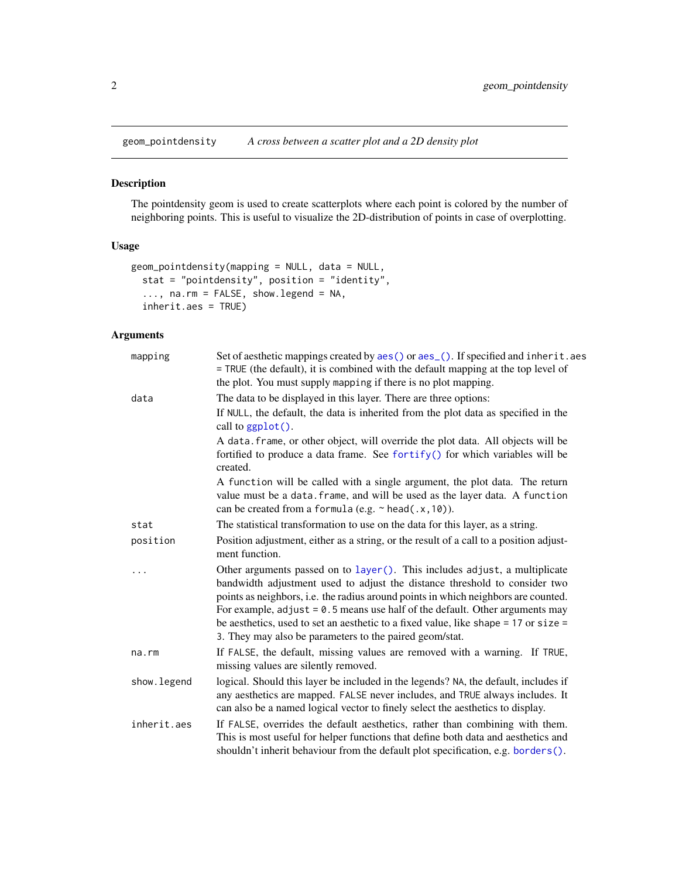<span id="page-1-0"></span>

#### Description

The pointdensity geom is used to create scatterplots where each point is colored by the number of neighboring points. This is useful to visualize the 2D-distribution of points in case of overplotting.

#### Usage

```
geom_pointdensity(mapping = NULL, data = NULL,
 stat = "pointdensity", position = "identity",
  ..., na.rm = FALSE, show.legend = NA,
 inherit.aes = TRUE)
```
#### Arguments

| mapping     | Set of aesthetic mappings created by aes() or aes_(). If specified and inherit.aes<br>= TRUE (the default), it is combined with the default mapping at the top level of<br>the plot. You must supply mapping if there is no plot mapping.                                                                                                                                                                                                                                          |
|-------------|------------------------------------------------------------------------------------------------------------------------------------------------------------------------------------------------------------------------------------------------------------------------------------------------------------------------------------------------------------------------------------------------------------------------------------------------------------------------------------|
| data        | The data to be displayed in this layer. There are three options:                                                                                                                                                                                                                                                                                                                                                                                                                   |
|             | If NULL, the default, the data is inherited from the plot data as specified in the<br>call to $ggplot()$ .                                                                                                                                                                                                                                                                                                                                                                         |
|             | A data. frame, or other object, will override the plot data. All objects will be<br>fortified to produce a data frame. See fortify() for which variables will be<br>created.                                                                                                                                                                                                                                                                                                       |
|             | A function will be called with a single argument, the plot data. The return<br>value must be a data. frame, and will be used as the layer data. A function<br>can be created from a formula (e.g. $\sim$ head(.x, 10)).                                                                                                                                                                                                                                                            |
| stat        | The statistical transformation to use on the data for this layer, as a string.                                                                                                                                                                                                                                                                                                                                                                                                     |
| position    | Position adjustment, either as a string, or the result of a call to a position adjust-<br>ment function.                                                                                                                                                                                                                                                                                                                                                                           |
| .           | Other arguments passed on to layer(). This includes adjust, a multiplicate<br>bandwidth adjustment used to adjust the distance threshold to consider two<br>points as neighbors, i.e. the radius around points in which neighbors are counted.<br>For example, $adjust = 0.5$ means use half of the default. Other arguments may<br>be aesthetics, used to set an aesthetic to a fixed value, like shape = 17 or size =<br>3. They may also be parameters to the paired geom/stat. |
| na.rm       | If FALSE, the default, missing values are removed with a warning. If TRUE,<br>missing values are silently removed.                                                                                                                                                                                                                                                                                                                                                                 |
| show.legend | logical. Should this layer be included in the legends? NA, the default, includes if<br>any aesthetics are mapped. FALSE never includes, and TRUE always includes. It<br>can also be a named logical vector to finely select the aesthetics to display.                                                                                                                                                                                                                             |
| inherit.aes | If FALSE, overrides the default aesthetics, rather than combining with them.<br>This is most useful for helper functions that define both data and aesthetics and<br>shouldn't inherit behaviour from the default plot specification, e.g. borders().                                                                                                                                                                                                                              |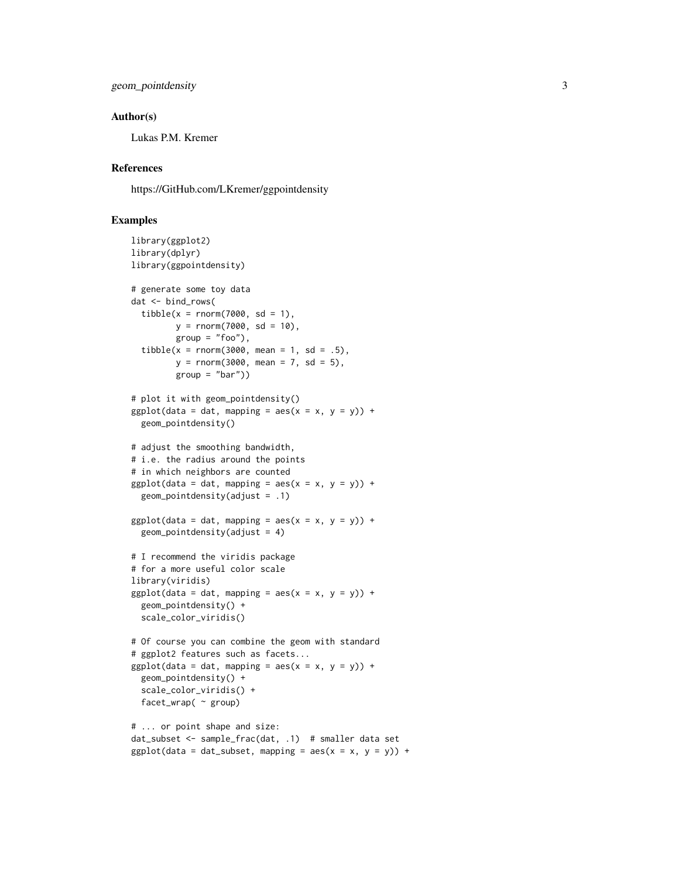```
geom_pointdensity 3
```
#### Author(s)

Lukas P.M. Kremer

#### References

https://GitHub.com/LKremer/ggpointdensity

#### Examples

```
library(ggplot2)
library(dplyr)
library(ggpointdensity)
# generate some toy data
dat <- bind_rows(
  tibble(x = rnorm(7000, sd = 1),y = rnorm(7000, sd = 10),
        group = "foo"),
  tibble(x = rnorm(3000, mean = 1, sd = .5),y = rnorm(3000, mean = 7, sd = 5),
        group = "bar")# plot it with geom_pointdensity()
ggplot(data = dat, mapping = aes(x = x, y = y)) +geom_pointdensity()
# adjust the smoothing bandwidth,
# i.e. the radius around the points
# in which neighbors are counted
ggplot(data = dat, mapping = aes(x = x, y = y)) +geom_pointdensity(adjust = .1)
ggplot(data = dat, mapping = aes(x = x, y = y)) +geom\_point density(adjust = 4)# I recommend the viridis package
# for a more useful color scale
library(viridis)
ggplot(data = dat, mapping = aes(x = x, y = y)) +geom_pointdensity() +
  scale_color_viridis()
# Of course you can combine the geom with standard
# ggplot2 features such as facets...
ggplot(data = dat, mapping = aes(x = x, y = y)) +geom_pointdensity() +
  scale_color_viridis() +
  facet_wrap( ~ group)
# ... or point shape and size:
dat_subset <- sample_frac(dat, .1) # smaller data set
ggplot(data = dat_subset, mapping = aes(x = x, y = y)) +
```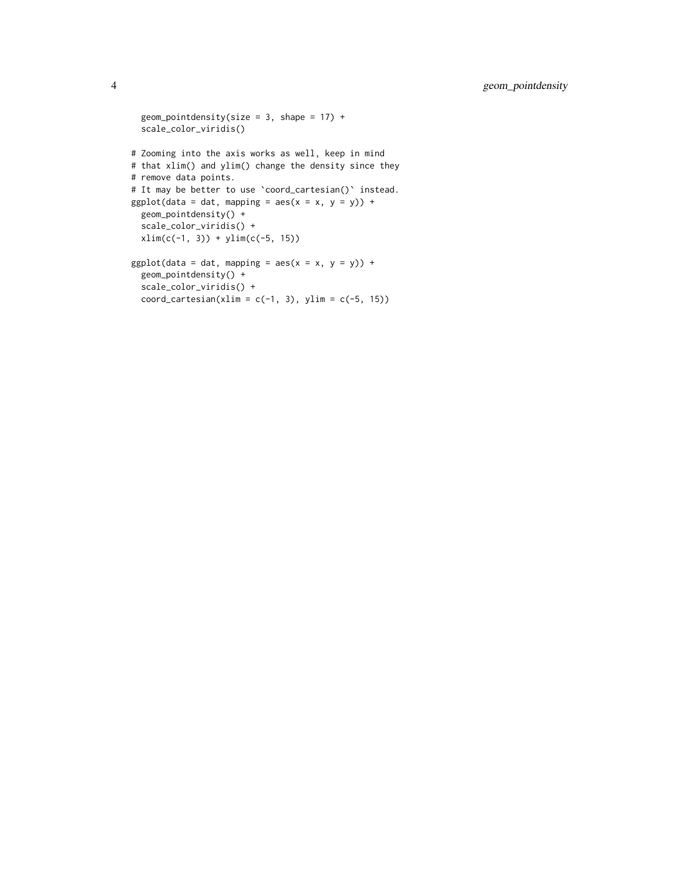```
geom_pointdensity(size = 3, shape = 17) +
 scale_color_viridis()
# Zooming into the axis works as well, keep in mind
# that xlim() and ylim() change the density since they
# remove data points.
# It may be better to use 'coord_cartesian()' instead.
ggplot(data = dat, mapping = aes(x = x, y = y)) +geom_pointdensity() +
 scale_color_viridis() +
 xlim(c(-1, 3)) + ylim(c(-5, 15))ggplot(data = dat, mapping = aes(x = x, y = y)) +geom_pointdensity() +
  scale_color_viridis() +
  coord\_cartesian(xlim = c(-1, 3), ylim = c(-5, 15))
```